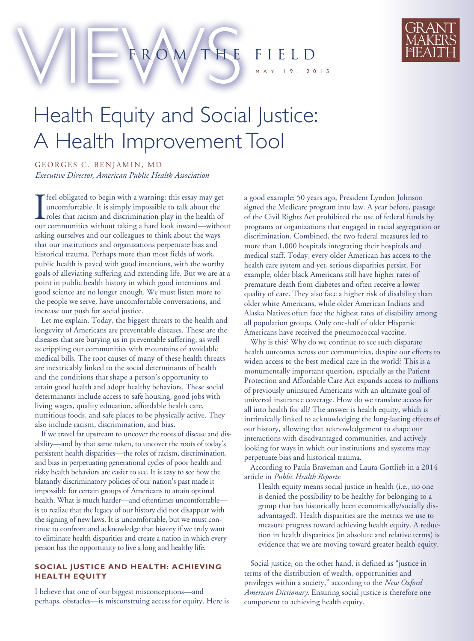ROM THE FIELD

9, 20 1 5



## Health Equity and Social Justice: A Health Improvement Tool

GEORGES C. BENJAMIN, MD *Executive Director, American Public Health Association*

I<sub>our</sub> feel obligated to begin with a warning: this essay may get uncomfortable. It is simply impossible to talk about the roles that racism and discrimination play in the health of our communities without taking a hard look inward—without asking ourselves and our colleagues to think about the ways that our institutions and organizations perpetuate bias and historical trauma. Perhaps more than most fields of work, public health is paved with good intentions, with the worthy goals of alleviating suffering and extending life. But we are at a point in public health history in which good intentions and good science are no longer enough. We must listen more to the people we serve, have uncomfortable conversations, and increase our push for social justice.

Let me explain. Today, the biggest threats to the health and longevity of Americans are preventable diseases. These are the diseases that are burying us in preventable suffering, as well as crippling our communities with mountains of avoidable medical bills. The root causes of many of these health threats are inextricably linked to the social determinants of health and the conditions that shape a person's opportunity to attain good health and adopt healthy behaviors. These social determinants include access to safe housing, good jobs with living wages, quality education, affordable health care, nutritious foods, and safe places to be physically active. They also include racism, discrimination, and bias.

If we travel far upstream to uncover the roots of disease and disability—and by that same token, to uncover the roots of today's persistent health disparities—the roles of racism, discrimination, and bias in perpetuating generational cycles of poor health and risky health behaviors are easier to see. It is easy to see how the blatantly discriminatory policies of our nation's past made it impossible for certain groups of Americans to attain optimal health. What is much harder—and oftentimes uncomfortable is to realize that the legacy of our history did not disappear with the signing of new laws. It is uncomfortable, but we must continue to confront and acknowledge that history if we truly want to eliminate health disparities and create a nation in which every person has the opportunity to live a long and healthy life.

## **SOCIAL JUSTICE AND HEALTH: ACHIEVING HEALTH EQUITY**

I believe that one of our biggest misconceptions—and perhaps, obstacles—is misconstruing access for equity. Here is a good example: 50 years ago, President Lyndon Johnson signed the Medicare program into law. A year before, passage of the Civil Rights Act prohibited the use of federal funds by programs or organizations that engaged in racial segregation or discrimination. Combined, the two federal measures led to more than 1,000 hospitals integrating their hospitals and medical staff. Today, every older American has access to the health care system and yet, serious disparities persist. For example, older black Americans still have higher rates of premature death from diabetes and often receive a lower quality of care. They also face a higher risk of disability than older white Americans, while older American Indians and Alaska Natives often face the highest rates of disability among all population groups. Only one-half of older Hispanic Americans have received the pneumococcal vaccine.

Why is this? Why do we continue to see such disparate health outcomes across our communities, despite our efforts to widen access to the best medical care in the world? This is a monumentally important question, especially as the Patient Protection and Affordable Care Act expands access to millions of previously uninsured Americans with an ultimate goal of universal insurance coverage. How do we translate access for all into health for all? The answer is health equity, which is intrinsically linked to acknowledging the long-lasting effects of our history, allowing that acknowledgement to shape our interactions with disadvantaged communities, and actively looking for ways in which our institutions and systems may perpetuate bias and historical trauma.

According to Paula Braveman and Laura Gottlieb in a 2014 article in *Public Health Reports*:

Health equity means social justice in health (i.e., no one is denied the possibility to be healthy for belonging to a group that has historically been economically/socially disadvantaged). Health disparities are the metrics we use to measure progress toward achieving health equity. A reduction in health disparities (in absolute and relative terms) is evidence that we are moving toward greater health equity.

Social justice, on the other hand, is defined as "justice in terms of the distribution of wealth, opportunities and privileges within a society," according to the *New Oxford American Dictionary*. Ensuring social justice is therefore one component to achieving health equity.